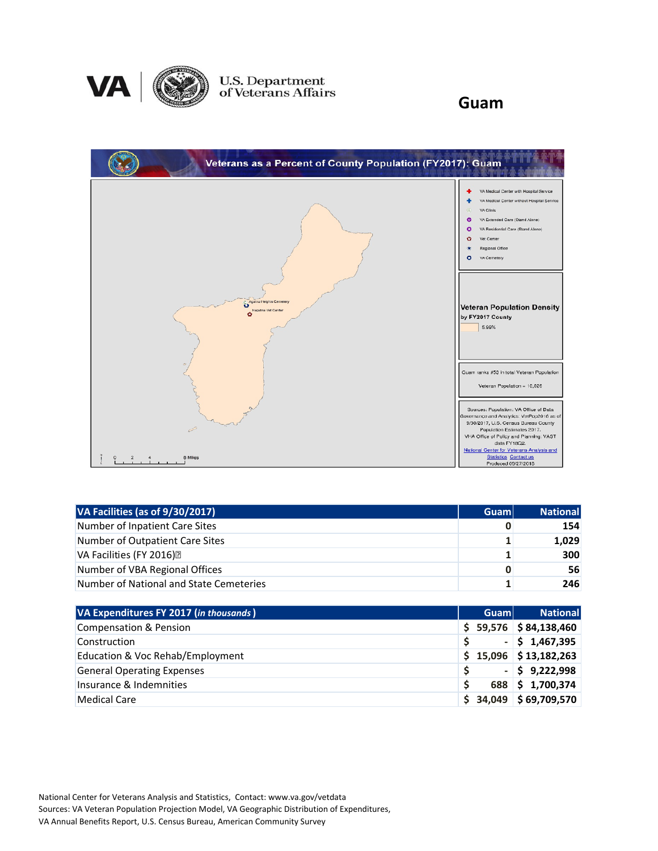

U.S. Department<br>of Veterans Affairs

**Guam**



| VA Facilities (as of 9/30/2017)         | <b>Guam</b> | <b>National</b> |
|-----------------------------------------|-------------|-----------------|
| Number of Inpatient Care Sites          |             | 154             |
| Number of Outpatient Care Sites         | 11          | 1,029           |
| VA Facilities (FY 2016) <sup>[7]</sup>  |             | 300             |
| Number of VBA Regional Offices          | 0           | 56              |
| Number of National and State Cemeteries |             | 246             |

| VA Expenditures FY 2017 (in thousands) | <b>Guam</b> | <b>National</b>             |
|----------------------------------------|-------------|-----------------------------|
| Compensation & Pension                 |             | $$59,576$ $$84,138,460$     |
| Construction                           |             | $-$ \$ 1,467,395            |
| Education & Voc Rehab/Employment       |             | $$15,096$ $$13,182,263$     |
| <b>General Operating Expenses</b>      |             | $-$ \$ 9,222,998            |
| Insurance & Indemnities                |             | 688 \$1,700,374             |
| Medical Care                           | \$34,049    | $\frac{1}{2}$ \$ 69,709,570 |

National Center for Veterans Analysis and Statistics, Contact: www.va.gov/vetdata Sources: VA Veteran Population Projection Model, VA Geographic Distribution of Expenditures, VA Annual Benefits Report, U.S. Census Bureau, American Community Survey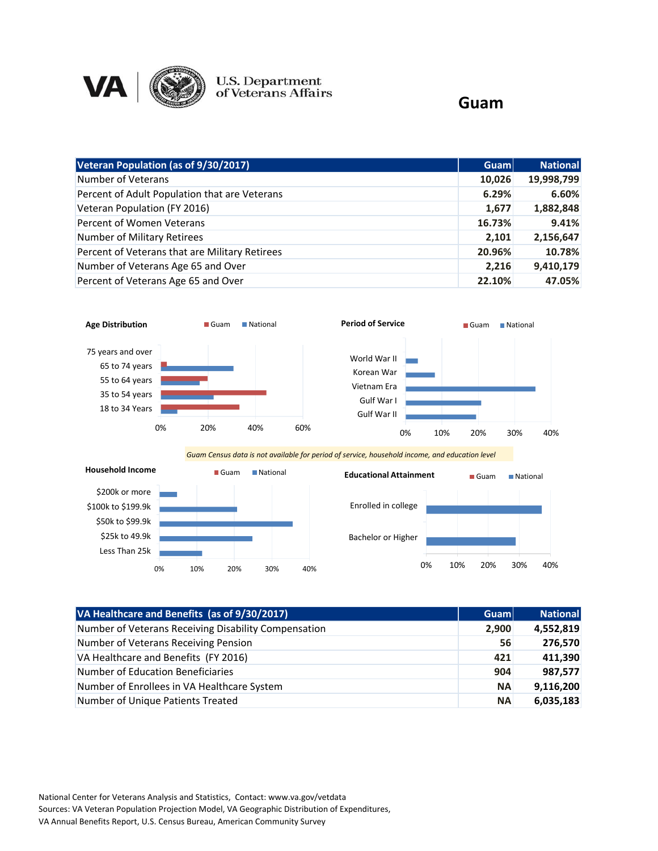

U.S. Department<br>of Veterans Affairs

## **Guam**

| Veteran Population (as of 9/30/2017)           | Guam   | <b>National</b> |
|------------------------------------------------|--------|-----------------|
| Number of Veterans                             | 10,026 | 19,998,799      |
| Percent of Adult Population that are Veterans  | 6.29%  | 6.60%           |
| Veteran Population (FY 2016)                   | 1,677  | 1,882,848       |
| Percent of Women Veterans                      | 16.73% | 9.41%           |
| Number of Military Retirees                    | 2,101  | 2,156,647       |
| Percent of Veterans that are Military Retirees | 20.96% | 10.78%          |
| Number of Veterans Age 65 and Over             | 2,216  | 9,410,179       |
| Percent of Veterans Age 65 and Over            | 22.10% | 47.05%          |



| VA Healthcare and Benefits (as of 9/30/2017)         | Guam      | <b>National</b> |
|------------------------------------------------------|-----------|-----------------|
| Number of Veterans Receiving Disability Compensation | 2,900     | 4,552,819       |
| Number of Veterans Receiving Pension                 | 56        | 276,570         |
| VA Healthcare and Benefits (FY 2016)                 | 421       | 411,390         |
| Number of Education Beneficiaries                    | 904       | 987,577         |
| Number of Enrollees in VA Healthcare System          | <b>NA</b> | 9,116,200       |
| Number of Unique Patients Treated                    | <b>NA</b> | 6,035,183       |

National Center for Veterans Analysis and Statistics, Contact: www.va.gov/vetdata Sources: VA Veteran Population Projection Model, VA Geographic Distribution of Expenditures, VA Annual Benefits Report, U.S. Census Bureau, American Community Survey

0% 10% 20% 30% 40%